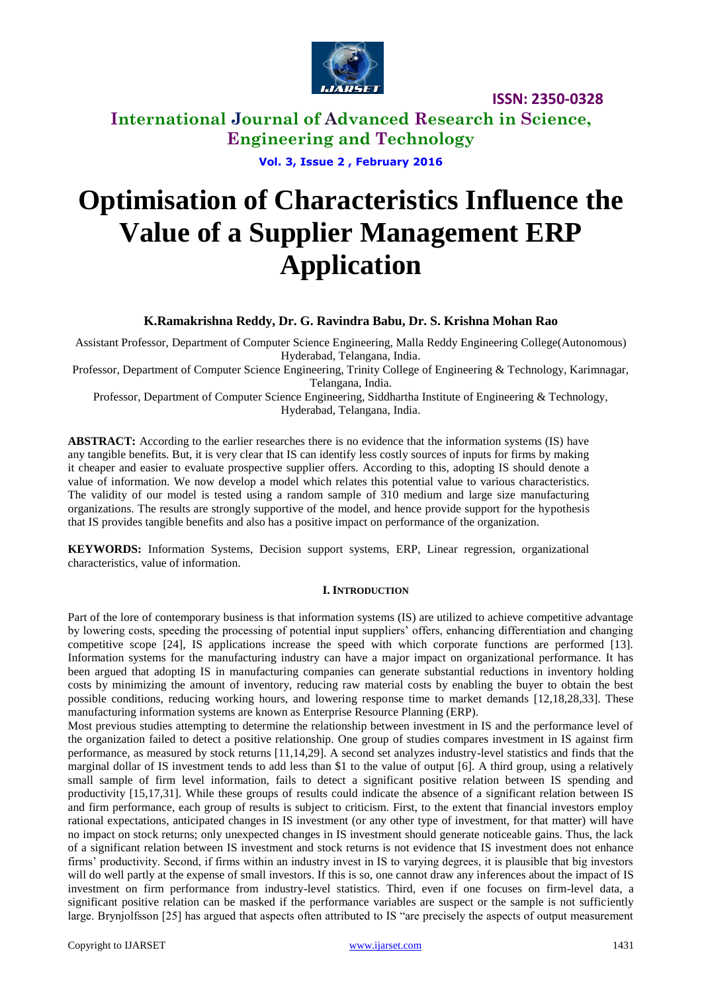

**International Journal of Advanced Research in Science, Engineering and Technology**

**Vol. 3, Issue 2 , February 2016**

# **Optimisation of Characteristics Influence the Value of a Supplier Management ERP Application**

**K.Ramakrishna Reddy, Dr. G. Ravindra Babu, Dr. S. Krishna Mohan Rao** 

Assistant Professor, Department of Computer Science Engineering, Malla Reddy Engineering College(Autonomous) Hyderabad, Telangana, India.

Professor, Department of Computer Science Engineering, Trinity College of Engineering & Technology, Karimnagar, Telangana, India.

Professor, Department of Computer Science Engineering, Siddhartha Institute of Engineering & Technology, Hyderabad, Telangana, India.

**ABSTRACT:** According to the earlier researches there is no evidence that the information systems (IS) have any tangible benefits. But, it is very clear that IS can identify less costly sources of inputs for firms by making it cheaper and easier to evaluate prospective supplier offers. According to this, adopting IS should denote a value of information. We now develop a model which relates this potential value to various characteristics. The validity of our model is tested using a random sample of 310 medium and large size manufacturing organizations. The results are strongly supportive of the model, and hence provide support for the hypothesis that IS provides tangible benefits and also has a positive impact on performance of the organization.

**KEYWORDS:** Information Systems, Decision support systems, ERP, Linear regression, organizational characteristics, value of information.

#### **I. INTRODUCTION**

Part of the lore of contemporary business is that information systems (IS) are utilized to achieve competitive advantage by lowering costs, speeding the processing of potential input suppliers' offers, enhancing differentiation and changing competitive scope [24], IS applications increase the speed with which corporate functions are performed [13]. Information systems for the manufacturing industry can have a major impact on organizational performance. It has been argued that adopting IS in manufacturing companies can generate substantial reductions in inventory holding costs by minimizing the amount of inventory, reducing raw material costs by enabling the buyer to obtain the best possible conditions, reducing working hours, and lowering response time to market demands [12,18,28,33]. These manufacturing information systems are known as Enterprise Resource Planning (ERP).

Most previous studies attempting to determine the relationship between investment in IS and the performance level of the organization failed to detect a positive relationship. One group of studies compares investment in IS against firm performance, as measured by stock returns [11,14,29]. A second set analyzes industry-level statistics and finds that the marginal dollar of IS investment tends to add less than \$1 to the value of output [6]. A third group, using a relatively small sample of firm level information, fails to detect a significant positive relation between IS spending and productivity [15,17,31]. While these groups of results could indicate the absence of a significant relation between IS and firm performance, each group of results is subject to criticism. First, to the extent that financial investors employ rational expectations, anticipated changes in IS investment (or any other type of investment, for that matter) will have no impact on stock returns; only unexpected changes in IS investment should generate noticeable gains. Thus, the lack of a significant relation between IS investment and stock returns is not evidence that IS investment does not enhance firms' productivity. Second, if firms within an industry invest in IS to varying degrees, it is plausible that big investors will do well partly at the expense of small investors. If this is so, one cannot draw any inferences about the impact of IS investment on firm performance from industry-level statistics. Third, even if one focuses on firm-level data, a significant positive relation can be masked if the performance variables are suspect or the sample is not sufficiently large. Brynjolfsson [25] has argued that aspects often attributed to IS "are precisely the aspects of output measurement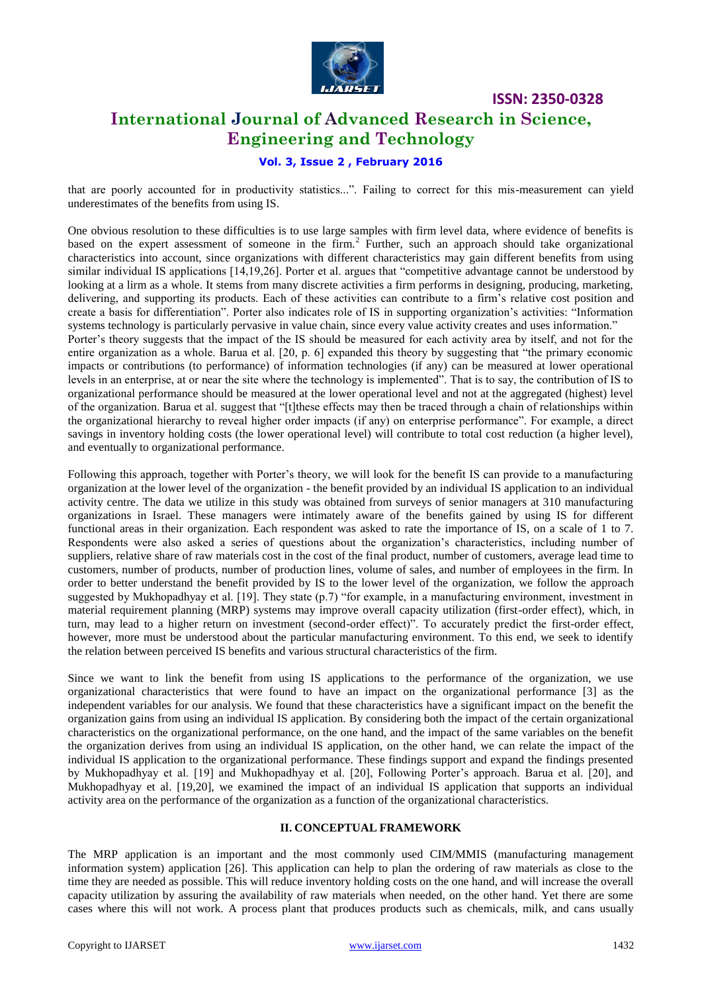

# **International Journal of Advanced Research in Science, Engineering and Technology**

## **Vol. 3, Issue 2 , February 2016**

that are poorly accounted for in productivity statistics...". Failing to correct for this mis-measurement can yield underestimates of the benefits from using IS.

One obvious resolution to these difficulties is to use large samples with firm level data, where evidence of benefits is based on the expert assessment of someone in the firm.<sup>2</sup> Further, such an approach should take organizational characteristics into account, since organizations with different characteristics may gain different benefits from using similar individual IS applications [14,19,26]. Porter et al. argues that "competitive advantage cannot be understood by looking at a lirm as a whole. It stems from many discrete activities a firm performs in designing, producing, marketing, delivering, and supporting its products. Each of these activities can contribute to a firm's relative cost position and create a basis for differentiation". Porter also indicates role of IS in supporting organization's activities: "Information systems technology is particularly pervasive in value chain, since every value activity creates and uses information."

Porter's theory suggests that the impact of the IS should be measured for each activity area by itself, and not for the entire organization as a whole. Barua et al.  $[20, p. 6]$  expanded this theory by suggesting that "the primary economic impacts or contributions (to performance) of information technologies (if any) can be measured at lower operational levels in an enterprise, at or near the site where the technology is implemented". That is to say, the contribution of IS to organizational performance should be measured at the lower operational level and not at the aggregated (highest) level of the organization. Barua et al. suggest that "[t]these effects may then be traced through a chain of relationships within the organizational hierarchy to reveal higher order impacts (if any) on enterprise performance". For example, a direct savings in inventory holding costs (the lower operational level) will contribute to total cost reduction (a higher level), and eventually to organizational performance.

Following this approach, together with Porter's theory, we will look for the benefit IS can provide to a manufacturing organization at the lower level of the organization - the benefit provided by an individual IS application to an individual activity centre. The data we utilize in this study was obtained from surveys of senior managers at 310 manufacturing organizations in Israel. These managers were intimately aware of the benefits gained by using IS for different functional areas in their organization. Each respondent was asked to rate the importance of IS, on a scale of 1 to 7. Respondents were also asked a series of questions about the organization's characteristics, including number of suppliers, relative share of raw materials cost in the cost of the final product, number of customers, average lead time to customers, number of products, number of production lines, volume of sales, and number of employees in the firm. In order to better understand the benefit provided by IS to the lower level of the organization, we follow the approach suggested by Mukhopadhyay et al.  $[19]$ . They state  $(p.7)$  "for example, in a manufacturing environment, investment in material requirement planning (MRP) systems may improve overall capacity utilization (first-order effect), which, in turn, may lead to a higher return on investment (second-order effect)". To accurately predict the first-order effect, however, more must be understood about the particular manufacturing environment. To this end, we seek to identify the relation between perceived IS benefits and various structural characteristics of the firm.

Since we want to link the benefit from using IS applications to the performance of the organization, we use organizational characteristics that were found to have an impact on the organizational performance [3] as the independent variables for our analysis. We found that these characteristics have a significant impact on the benefit the organization gains from using an individual IS application. By considering both the impact of the certain organizational characteristics on the organizational performance, on the one hand, and the impact of the same variables on the benefit the organization derives from using an individual IS application, on the other hand, we can relate the impact of the individual IS application to the organizational performance. These findings support and expand the findings presented by Mukhopadhyay et al. [19] and Mukhopadhyay et al. [20], Following Porter's approach. Barua et al. [20], and Mukhopadhyay et al. [19,20], we examined the impact of an individual IS application that supports an individual activity area on the performance of the organization as a function of the organizational characteristics.

#### **II. CONCEPTUAL FRAMEWORK**

The MRP application is an important and the most commonly used CIM/MMIS (manufacturing management information system) application [26]. This application can help to plan the ordering of raw materials as close to the time they are needed as possible. This will reduce inventory holding costs on the one hand, and will increase the overall capacity utilization by assuring the availability of raw materials when needed, on the other hand. Yet there are some cases where this will not work. A process plant that produces products such as chemicals, milk, and cans usually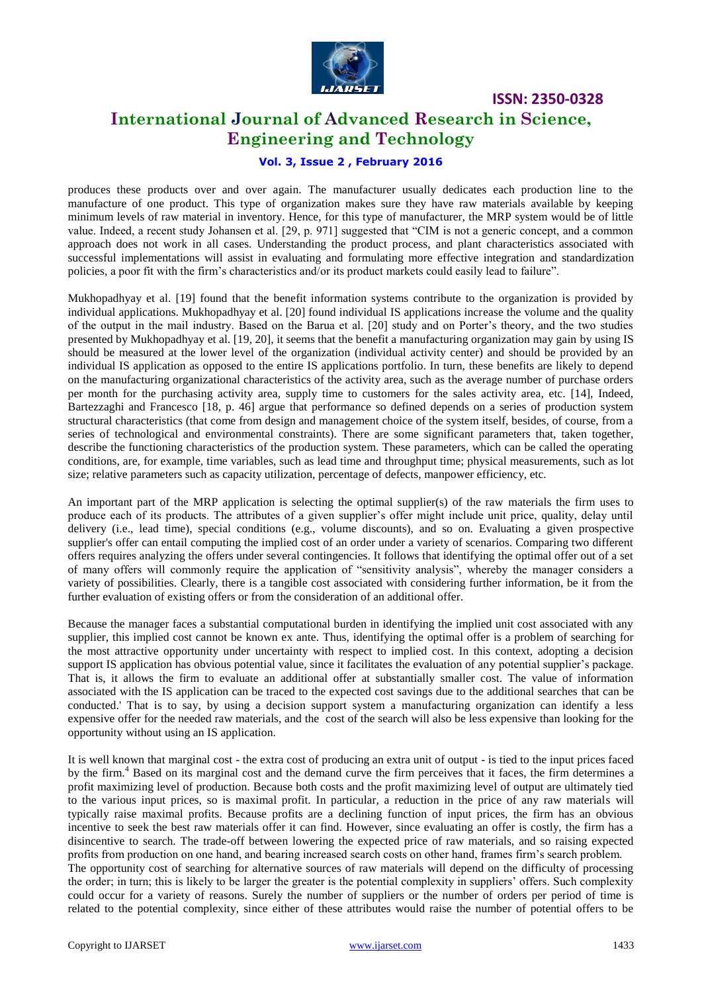

# **International Journal of Advanced Research in Science, Engineering and Technology**

## **Vol. 3, Issue 2 , February 2016**

produces these products over and over again. The manufacturer usually dedicates each production line to the manufacture of one product. This type of organization makes sure they have raw materials available by keeping minimum levels of raw material in inventory. Hence, for this type of manufacturer, the MRP system would be of little value. Indeed, a recent study Johansen et al. [29, p. 971] suggested that "CIM is not a generic concept, and a common approach does not work in all cases. Understanding the product process, and plant characteristics associated with successful implementations will assist in evaluating and formulating more effective integration and standardization policies, a poor fit with the firm's characteristics and/or its product markets could easily lead to failure".

Mukhopadhyay et al. [19] found that the benefit information systems contribute to the organization is provided by individual applications. Mukhopadhyay et al. [20] found individual IS applications increase the volume and the quality of the output in the mail industry. Based on the Barua et al. [20] study and on Porter's theory, and the two studies presented by Mukhopadhyay et al. [19, 20], it seems that the benefit a manufacturing organization may gain by using IS should be measured at the lower level of the organization (individual activity center) and should be provided by an individual IS application as opposed to the entire IS applications portfolio. In turn, these benefits are likely to depend on the manufacturing organizational characteristics of the activity area, such as the average number of purchase orders per month for the purchasing activity area, supply time to customers for the sales activity area, etc. [14], Indeed, Bartezzaghi and Francesco [18, p. 46] argue that performance so defined depends on a series of production system structural characteristics (that come from design and management choice of the system itself, besides, of course, from a series of technological and environmental constraints). There are some significant parameters that, taken together, describe the functioning characteristics of the production system. These parameters, which can be called the operating conditions, are, for example, time variables, such as lead time and throughput time; physical measurements, such as lot size; relative parameters such as capacity utilization, percentage of defects, manpower efficiency, etc.

An important part of the MRP application is selecting the optimal supplier(s) of the raw materials the firm uses to produce each of its products. The attributes of a given supplier's offer might include unit price, quality, delay until delivery (i.e., lead time), special conditions (e.g., volume discounts), and so on. Evaluating a given prospective supplier's offer can entail computing the implied cost of an order under a variety of scenarios. Comparing two different offers requires analyzing the offers under several contingencies. It follows that identifying the optimal offer out of a set of many offers will commonly require the application of "sensitivity analysis", whereby the manager considers a variety of possibilities. Clearly, there is a tangible cost associated with considering further information, be it from the further evaluation of existing offers or from the consideration of an additional offer.

Because the manager faces a substantial computational burden in identifying the implied unit cost associated with any supplier, this implied cost cannot be known ex ante. Thus, identifying the optimal offer is a problem of searching for the most attractive opportunity under uncertainty with respect to implied cost. In this context, adopting a decision support IS application has obvious potential value, since it facilitates the evaluation of any potential supplier's package. That is, it allows the firm to evaluate an additional offer at substantially smaller cost. The value of information associated with the IS application can be traced to the expected cost savings due to the additional searches that can be conducted.' That is to say, by using a decision support system a manufacturing organization can identify a less expensive offer for the needed raw materials, and the cost of the search will also be less expensive than looking for the opportunity without using an IS application.

It is well known that marginal cost - the extra cost of producing an extra unit of output - is tied to the input prices faced by the firm.<sup>4</sup> Based on its marginal cost and the demand curve the firm perceives that it faces, the firm determines a profit maximizing level of production. Because both costs and the profit maximizing level of output are ultimately tied to the various input prices, so is maximal profit. In particular, a reduction in the price of any raw materials will typically raise maximal profits. Because profits are a declining function of input prices, the firm has an obvious incentive to seek the best raw materials offer it can find. However, since evaluating an offer is costly, the firm has a disincentive to search. The trade-off between lowering the expected price of raw materials, and so raising expected profits from production on one hand, and bearing increased search costs on other hand, frames firm's search problem. The opportunity cost of searching for alternative sources of raw materials will depend on the difficulty of processing the order; in turn; this is likely to be larger the greater is the potential complexity in suppliers' offers. Such complexity could occur for a variety of reasons. Surely the number of suppliers or the number of orders per period of time is related to the potential complexity, since either of these attributes would raise the number of potential offers to be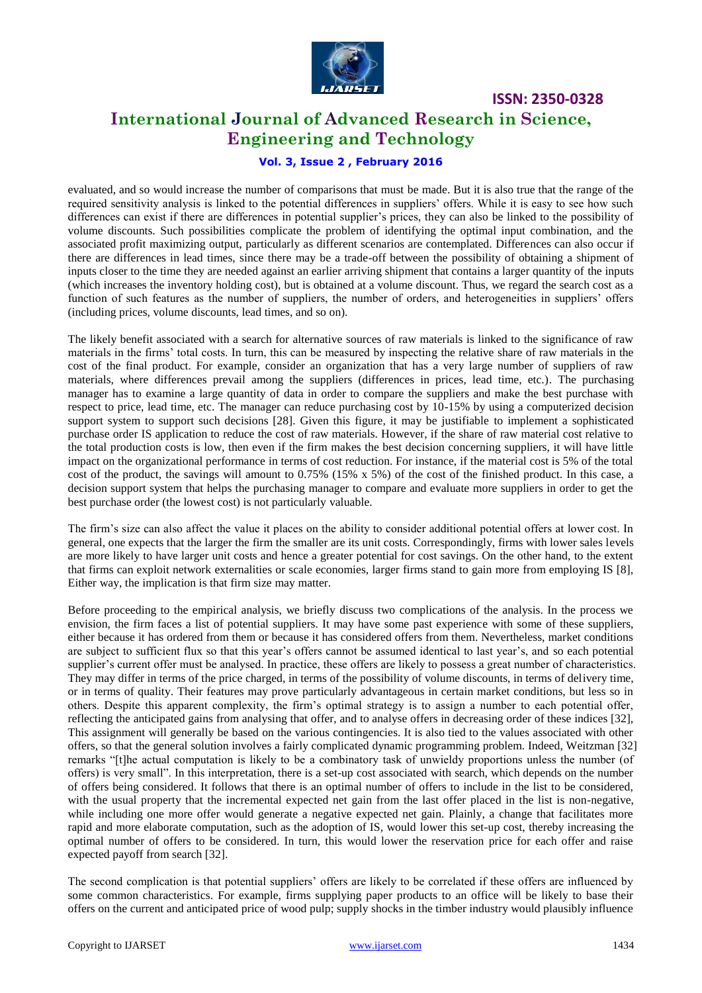

## **International Journal of Advanced Research in Science, Engineering and Technology**

## **Vol. 3, Issue 2 , February 2016**

evaluated, and so would increase the number of comparisons that must be made. But it is also true that the range of the required sensitivity analysis is linked to the potential differences in suppliers' offers. While it is easy to see how such differences can exist if there are differences in potential supplier's prices, they can also be linked to the possibility of volume discounts. Such possibilities complicate the problem of identifying the optimal input combination, and the associated profit maximizing output, particularly as different scenarios are contemplated. Differences can also occur if there are differences in lead times, since there may be a trade-off between the possibility of obtaining a shipment of inputs closer to the time they are needed against an earlier arriving shipment that contains a larger quantity of the inputs (which increases the inventory holding cost), but is obtained at a volume discount. Thus, we regard the search cost as a function of such features as the number of suppliers, the number of orders, and heterogeneities in suppliers' offers (including prices, volume discounts, lead times, and so on).

The likely benefit associated with a search for alternative sources of raw materials is linked to the significance of raw materials in the firms' total costs. In turn, this can be measured by inspecting the relative share of raw materials in the cost of the final product. For example, consider an organization that has a very large number of suppliers of raw materials, where differences prevail among the suppliers (differences in prices, lead time, etc.). The purchasing manager has to examine a large quantity of data in order to compare the suppliers and make the best purchase with respect to price, lead time, etc. The manager can reduce purchasing cost by 10-15% by using a computerized decision support system to support such decisions [28]. Given this figure, it may be justifiable to implement a sophisticated purchase order IS application to reduce the cost of raw materials. However, if the share of raw material cost relative to the total production costs is low, then even if the firm makes the best decision concerning suppliers, it will have little impact on the organizational performance in terms of cost reduction. For instance, if the material cost is 5% of the total cost of the product, the savings will amount to 0.75% (15% x 5%) of the cost of the finished product. In this case, a decision support system that helps the purchasing manager to compare and evaluate more suppliers in order to get the best purchase order (the lowest cost) is not particularly valuable.

The firm's size can also affect the value it places on the ability to consider additional potential offers at lower cost. In general, one expects that the larger the firm the smaller are its unit costs. Correspondingly, firms with lower sales levels are more likely to have larger unit costs and hence a greater potential for cost savings. On the other hand, to the extent that firms can exploit network externalities or scale economies, larger firms stand to gain more from employing IS [8], Either way, the implication is that firm size may matter.

Before proceeding to the empirical analysis, we briefly discuss two complications of the analysis. In the process we envision, the firm faces a list of potential suppliers. It may have some past experience with some of these suppliers, either because it has ordered from them or because it has considered offers from them. Nevertheless, market conditions are subject to sufficient flux so that this year's offers cannot be assumed identical to last year's, and so each potential supplier's current offer must be analysed. In practice, these offers are likely to possess a great number of characteristics. They may differ in terms of the price charged, in terms of the possibility of volume discounts, in terms of delivery time, or in terms of quality. Their features may prove particularly advantageous in certain market conditions, but less so in others. Despite this apparent complexity, the firm's optimal strategy is to assign a number to each potential offer, reflecting the anticipated gains from analysing that offer, and to analyse offers in decreasing order of these indices [32], This assignment will generally be based on the various contingencies. It is also tied to the values associated with other offers, so that the general solution involves a fairly complicated dynamic programming problem. Indeed, Weitzman [32] remarks "[t]he actual computation is likely to be a combinatory task of unwieldy proportions unless the number (of offers) is very small". In this interpretation, there is a set-up cost associated with search, which depends on the number of offers being considered. It follows that there is an optimal number of offers to include in the list to be considered, with the usual property that the incremental expected net gain from the last offer placed in the list is non-negative, while including one more offer would generate a negative expected net gain. Plainly, a change that facilitates more rapid and more elaborate computation, such as the adoption of IS, would lower this set-up cost, thereby increasing the optimal number of offers to be considered. In turn, this would lower the reservation price for each offer and raise expected payoff from search [32].

The second complication is that potential suppliers' offers are likely to be correlated if these offers are influenced by some common characteristics. For example, firms supplying paper products to an office will be likely to base their offers on the current and anticipated price of wood pulp; supply shocks in the timber industry would plausibly influence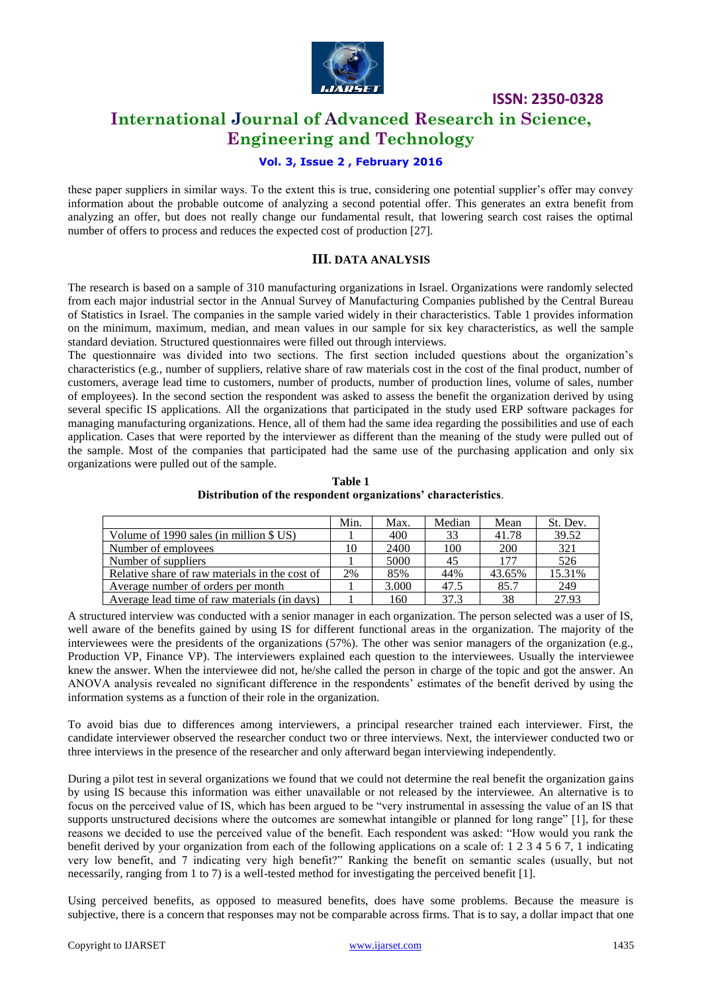

## **International Journal of Advanced Research in Science, Engineering and Technology**

## **Vol. 3, Issue 2 , February 2016**

these paper suppliers in similar ways. To the extent this is true, considering one potential supplier's offer may convey information about the probable outcome of analyzing a second potential offer. This generates an extra benefit from analyzing an offer, but does not really change our fundamental result, that lowering search cost raises the optimal number of offers to process and reduces the expected cost of production [27].

#### **III. DATA ANALYSIS**

The research is based on a sample of 310 manufacturing organizations in Israel. Organizations were randomly selected from each major industrial sector in the Annual Survey of Manufacturing Companies published by the Central Bureau of Statistics in Israel. The companies in the sample varied widely in their characteristics. Table 1 provides information on the minimum, maximum, median, and mean values in our sample for six key characteristics, as well the sample standard deviation. Structured questionnaires were filled out through interviews.

The questionnaire was divided into two sections. The first section included questions about the organization's characteristics (e.g., number of suppliers, relative share of raw materials cost in the cost of the final product, number of customers, average lead time to customers, number of products, number of production lines, volume of sales, number of employees). In the second section the respondent was asked to assess the benefit the organization derived by using several specific IS applications. All the organizations that participated in the study used ERP software packages for managing manufacturing organizations. Hence, all of them had the same idea regarding the possibilities and use of each application. Cases that were reported by the interviewer as different than the meaning of the study were pulled out of the sample. Most of the companies that participated had the same use of the purchasing application and only six organizations were pulled out of the sample.

| Table 1                                                        |  |  |
|----------------------------------------------------------------|--|--|
| Distribution of the respondent organizations' characteristics. |  |  |

|                                                | Min. | Max.  | Median | Mean   | St. Dev. |
|------------------------------------------------|------|-------|--------|--------|----------|
| Volume of 1990 sales (in million \$ US)        |      | 400   | 33     | 41.78  | 39.52    |
| Number of employees                            | 10   | 2400  | 100    | 200    | 321      |
| Number of suppliers                            |      | 5000  | 45     | 177    | 526      |
| Relative share of raw materials in the cost of | 2%   | 85%   | 44%    | 43.65% | 15.31%   |
| Average number of orders per month             |      | 3.000 | 47.5   | 85.7   | 249      |
| Average lead time of raw materials (in days)   |      | 160   | 37.3   | 38     | 27.93    |

A structured interview was conducted with a senior manager in each organization. The person selected was a user of IS, well aware of the benefits gained by using IS for different functional areas in the organization. The majority of the interviewees were the presidents of the organizations (57%). The other was senior managers of the organization (e.g., Production VP, Finance VP). The interviewers explained each question to the interviewees. Usually the interviewee knew the answer. When the interviewee did not, he/she called the person in charge of the topic and got the answer. An ANOVA analysis revealed no significant difference in the respondents' estimates of the benefit derived by using the information systems as a function of their role in the organization.

To avoid bias due to differences among interviewers, a principal researcher trained each interviewer. First, the candidate interviewer observed the researcher conduct two or three interviews. Next, the interviewer conducted two or three interviews in the presence of the researcher and only afterward began interviewing independently.

During a pilot test in several organizations we found that we could not determine the real benefit the organization gains by using IS because this information was either unavailable or not released by the interviewee. An alternative is to focus on the perceived value of IS, which has been argued to be "very instrumental in assessing the value of an IS that supports unstructured decisions where the outcomes are somewhat intangible or planned for long range" [1], for these reasons we decided to use the perceived value of the benefit. Each respondent was asked: "How would you rank the benefit derived by your organization from each of the following applications on a scale of: 1 2 3 4 5 6 7, 1 indicating very low benefit, and 7 indicating very high benefit?" Ranking the benefit on semantic scales (usually, but not necessarily, ranging from 1 to 7) is a well-tested method for investigating the perceived benefit [1].

Using perceived benefits, as opposed to measured benefits, does have some problems. Because the measure is subjective, there is a concern that responses may not be comparable across firms. That is to say, a dollar impact that one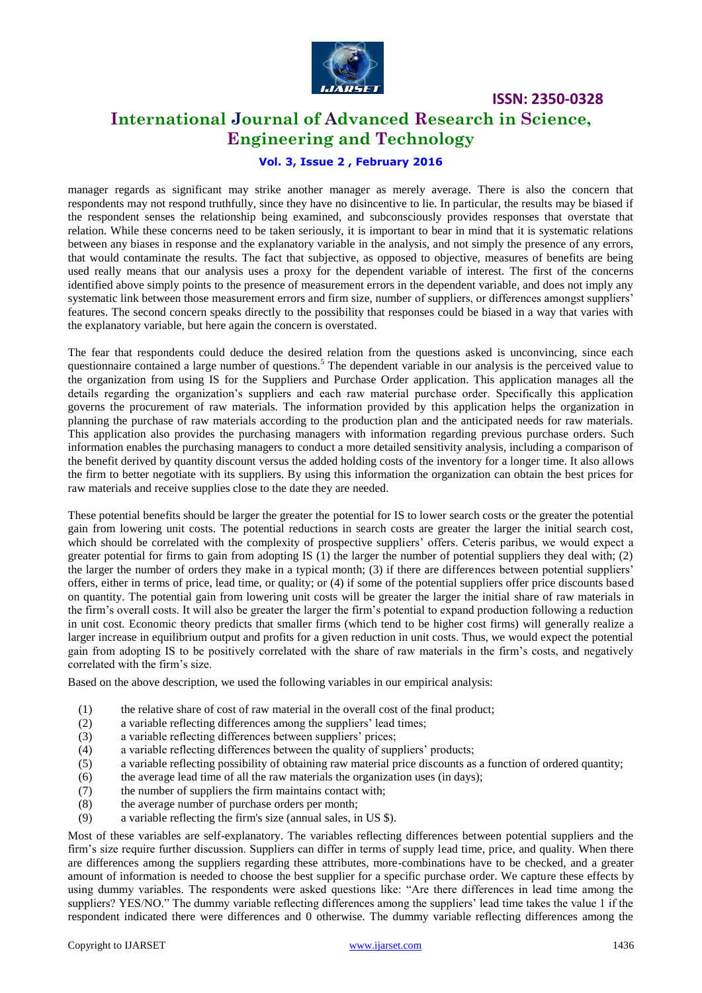

## **International Journal of Advanced Research in Science, Engineering and Technology**

## **Vol. 3, Issue 2 , February 2016**

manager regards as significant may strike another manager as merely average. There is also the concern that respondents may not respond truthfully, since they have no disincentive to lie. In particular, the results may be biased if the respondent senses the relationship being examined, and subconsciously provides responses that overstate that relation. While these concerns need to be taken seriously, it is important to bear in mind that it is systematic relations between any biases in response and the explanatory variable in the analysis, and not simply the presence of any errors, that would contaminate the results. The fact that subjective, as opposed to objective, measures of benefits are being used really means that our analysis uses a proxy for the dependent variable of interest. The first of the concerns identified above simply points to the presence of measurement errors in the dependent variable, and does not imply any systematic link between those measurement errors and firm size, number of suppliers, or differences amongst suppliers' features. The second concern speaks directly to the possibility that responses could be biased in a way that varies with the explanatory variable, but here again the concern is overstated.

The fear that respondents could deduce the desired relation from the questions asked is unconvincing, since each questionnaire contained a large number of questions.<sup>5</sup> The dependent variable in our analysis is the perceived value to the organization from using IS for the Suppliers and Purchase Order application. This application manages all the details regarding the organization's suppliers and each raw material purchase order. Specifically this application governs the procurement of raw materials. The information provided by this application helps the organization in planning the purchase of raw materials according to the production plan and the anticipated needs for raw materials. This application also provides the purchasing managers with information regarding previous purchase orders. Such information enables the purchasing managers to conduct a more detailed sensitivity analysis, including a comparison of the benefit derived by quantity discount versus the added holding costs of the inventory for a longer time. It also allows the firm to better negotiate with its suppliers. By using this information the organization can obtain the best prices for raw materials and receive supplies close to the date they are needed.

These potential benefits should be larger the greater the potential for IS to lower search costs or the greater the potential gain from lowering unit costs. The potential reductions in search costs are greater the larger the initial search cost, which should be correlated with the complexity of prospective suppliers' offers. Ceteris paribus, we would expect a greater potential for firms to gain from adopting IS (1) the larger the number of potential suppliers they deal with; (2) the larger the number of orders they make in a typical month; (3) if there are differences between potential suppliers' offers, either in terms of price, lead time, or quality; or (4) if some of the potential suppliers offer price discounts based on quantity. The potential gain from lowering unit costs will be greater the larger the initial share of raw materials in the firm's overall costs. It will also be greater the larger the firm's potential to expand production following a reduction in unit cost. Economic theory predicts that smaller firms (which tend to be higher cost firms) will generally realize a larger increase in equilibrium output and profits for a given reduction in unit costs. Thus, we would expect the potential gain from adopting IS to be positively correlated with the share of raw materials in the firm's costs, and negatively correlated with the firm's size.

Based on the above description, we used the following variables in our empirical analysis:

- (1) the relative share of cost of raw material in the overall cost of the final product;
- (2) a variable reflecting differences among the suppliers' lead times;
- (3) a variable reflecting differences between suppliers' prices;
- (4) a variable reflecting differences between the quality of suppliers' products;
- (5) a variable reflecting possibility of obtaining raw material price discounts as a function of ordered quantity;
- (6) the average lead time of all the raw materials the organization uses (in days);
- (7) the number of suppliers the firm maintains contact with;
- (8) the average number of purchase orders per month;
- (9) a variable reflecting the firm's size (annual sales, in US \$).

Most of these variables are self-explanatory. The variables reflecting differences between potential suppliers and the firm's size require further discussion. Suppliers can differ in terms of supply lead time, price, and quality. When there are differences among the suppliers regarding these attributes, more-combinations have to be checked, and a greater amount of information is needed to choose the best supplier for a specific purchase order. We capture these effects by using dummy variables. The respondents were asked questions like: "Are there differences in lead time among the suppliers? YES/NO." The dummy variable reflecting differences among the suppliers' lead time takes the value 1 if the respondent indicated there were differences and 0 otherwise. The dummy variable reflecting differences among the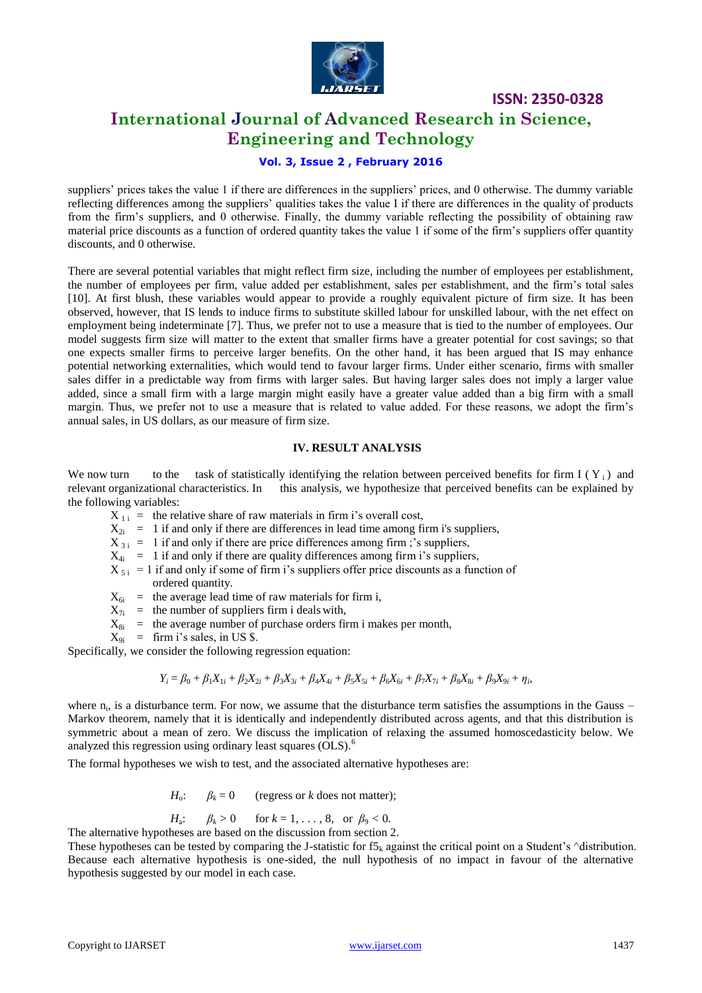

## **International Journal of Advanced Research in Science, Engineering and Technology**

## **Vol. 3, Issue 2 , February 2016**

suppliers' prices takes the value 1 if there are differences in the suppliers' prices, and 0 otherwise. The dummy variable reflecting differences among the suppliers' qualities takes the value I if there are differences in the quality of products from the firm's suppliers, and 0 otherwise. Finally, the dummy variable reflecting the possibility of obtaining raw material price discounts as a function of ordered quantity takes the value 1 if some of the firm's suppliers offer quantity discounts, and 0 otherwise.

There are several potential variables that might reflect firm size, including the number of employees per establishment, the number of employees per firm, value added per establishment, sales per establishment, and the firm's total sales [10]. At first blush, these variables would appear to provide a roughly equivalent picture of firm size. It has been observed, however, that IS lends to induce firms to substitute skilled labour for unskilled labour, with the net effect on employment being indeterminate [7]. Thus, we prefer not to use a measure that is tied to the number of employees. Our model suggests firm size will matter to the extent that smaller firms have a greater potential for cost savings; so that one expects smaller firms to perceive larger benefits. On the other hand, it has been argued that IS may enhance potential networking externalities, which would tend to favour larger firms. Under either scenario, firms with smaller sales differ in a predictable way from firms with larger sales. But having larger sales does not imply a larger value added, since a small firm with a large margin might easily have a greater value added than a big firm with a small margin. Thus, we prefer not to use a measure that is related to value added. For these reasons, we adopt the firm's annual sales, in US dollars, as our measure of firm size.

#### **IV. RESULT ANALYSIS**

We now turn to the task of statistically identifying the relation between perceived benefits for firm I ( $Y_i$ ) and relevant organizational characteristics. In this analysis, we hypothesize that perceived benefits can be explained by the following variables:

 $X_{1 i}$  = the relative share of raw materials in firm i's overall cost,

 $X_{2i}$  = 1 if and only if there are differences in lead time among firm i's suppliers,

 $X_{3i} = 1$  if and only if there are price differences among firm ;'s suppliers,

 $X_{4i}$  = 1 if and only if there are quality differences among firm i's suppliers,

- $X_{5i} = 1$  if and only if some of firm i's suppliers offer price discounts as a function of ordered quantity.
- $X_{6i}$  = the average lead time of raw materials for firm i,
- $X_{7i}$  = the number of suppliers firm i deals with,
- $X_{8i}$  = the average number of purchase orders firm i makes per month,
- $X_{9i}$  = firm i's sales, in US \$.

Specifically, we consider the following regression equation:

$$
Y_i = \beta_0 + \beta_1 X_{1i} + \beta_2 X_{2i} + \beta_3 X_{3i} + \beta_4 X_{4i} + \beta_5 X_{5i} + \beta_6 X_{6i} + \beta_7 X_{7i} + \beta_8 X_{8i} + \beta_9 X_{9i} + \eta_i,
$$

where  $n_i$ , is a disturbance term. For now, we assume that the disturbance term satisfies the assumptions in the Gauss – Markov theorem, namely that it is identically and independently distributed across agents, and that this distribution is symmetric about a mean of zero. We discuss the implication of relaxing the assumed homoscedasticity below. We analyzed this regression using ordinary least squares (OLS).<sup>6</sup>

The formal hypotheses we wish to test, and the associated alternative hypotheses are:

 $H_o$ :  $\beta_k = 0$  (regress or *k* does not matter);

$$
H_a
$$
:  $\beta_k > 0$  for  $k = 1, ..., 8$ , or  $\beta_9 < 0$ .

The alternative hypotheses are based on the discussion from section 2.

These hypotheses can be tested by comparing the J-statistic for  $f_{k}$  against the critical point on a Student's  $\gamma$ distribution. Because each alternative hypothesis is one-sided, the null hypothesis of no impact in favour of the alternative hypothesis suggested by our model in each case.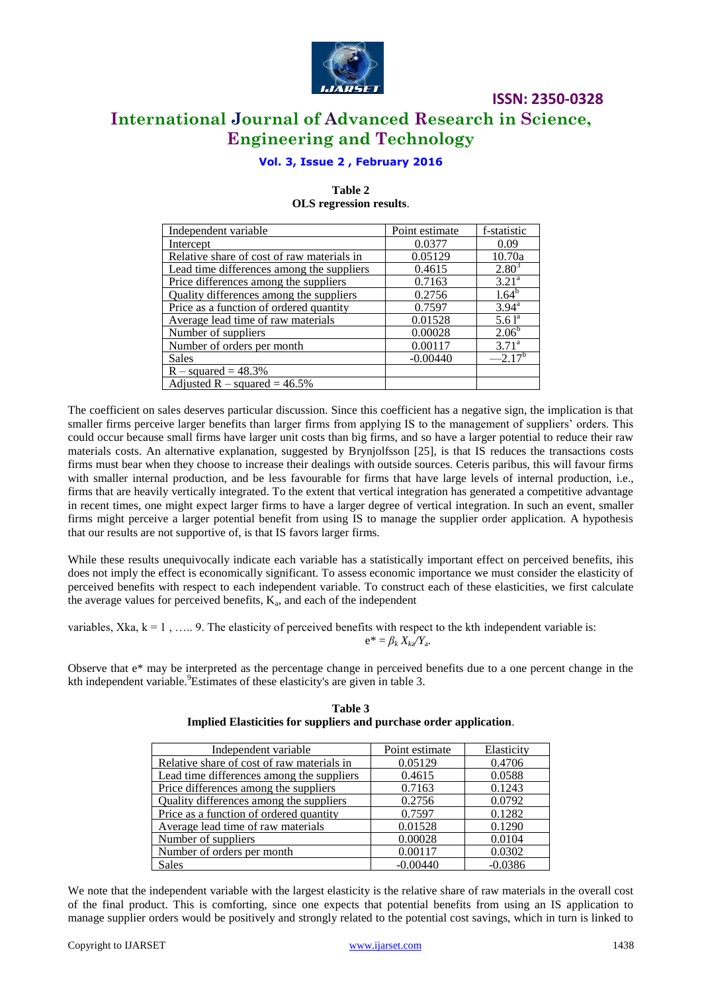

# **ISSN: 2350-0328 International Journal of Advanced Research in Science, Engineering and Technology**

## **Vol. 3, Issue 2 , February 2016**

#### **Table 2 OLS regression results**.

| Independent variable                       | Point estimate | f-statistic       |
|--------------------------------------------|----------------|-------------------|
| Intercept                                  | 0.0377         | 0.09              |
| Relative share of cost of raw materials in | 0.05129        | 10.70a            |
| Lead time differences among the suppliers  | 0.4615         | $2.80^{3}$        |
| Price differences among the suppliers      | 0.7163         | 3.21 <sup>a</sup> |
| Quality differences among the suppliers    | 0.2756         | $1.64^{\circ}$    |
| Price as a function of ordered quantity    | 0.7597         | $3.94^{\rm a}$    |
| Average lead time of raw materials         | 0.01528        | $5.61^a$          |
| Number of suppliers                        | 0.00028        | $2.06^b$          |
| Number of orders per month                 | 0.00117        | $3.71^{\rm a}$    |
| Sales                                      | $-0.00440$     |                   |
| $R - squared = 48.3%$                      |                |                   |
| Adjusted R – squared = $46.5\%$            |                |                   |

The coefficient on sales deserves particular discussion. Since this coefficient has a negative sign, the implication is that smaller firms perceive larger benefits than larger firms from applying IS to the management of suppliers' orders. This could occur because small firms have larger unit costs than big firms, and so have a larger potential to reduce their raw materials costs. An alternative explanation, suggested by Brynjolfsson [25], is that IS reduces the transactions costs firms must bear when they choose to increase their dealings with outside sources. Ceteris paribus, this will favour firms with smaller internal production, and be less favourable for firms that have large levels of internal production, i.e., firms that are heavily vertically integrated. To the extent that vertical integration has generated a competitive advantage in recent times, one might expect larger firms to have a larger degree of vertical integration. In such an event, smaller firms might perceive a larger potential benefit from using IS to manage the supplier order application. A hypothesis that our results are not supportive of, is that IS favors larger firms.

While these results unequivocally indicate each variable has a statistically important effect on perceived benefits, ihis does not imply the effect is economically significant. To assess economic importance we must consider the elasticity of perceived benefits with respect to each independent variable. To construct each of these elasticities, we first calculate the average values for perceived benefits,  $K_a$ , and each of the independent

variables, Xka,  $k = 1, \ldots, 9$ . The elasticity of perceived benefits with respect to the kth independent variable is:  $e^* = \beta_k X_{k} / Y_{a}$ .

Observe that e\* may be interpreted as the percentage change in perceived benefits due to a one percent change in the kth independent variable.<sup>9</sup>Estimates of these elasticity's are given in table 3.

| Independent variable                       | Point estimate | Elasticity |
|--------------------------------------------|----------------|------------|
| Relative share of cost of raw materials in | 0.05129        | 0.4706     |
| Lead time differences among the suppliers  | 0.4615         | 0.0588     |
| Price differences among the suppliers      | 0.7163         | 0.1243     |
| Quality differences among the suppliers    | 0.2756         | 0.0792     |
| Price as a function of ordered quantity    | 0.7597         | 0.1282     |
| Average lead time of raw materials         | 0.01528        | 0.1290     |
| Number of suppliers                        | 0.00028        | 0.0104     |
| Number of orders per month                 | 0.00117        | 0.0302     |
| Sales                                      | $-0.00440$     | $-0.0386$  |

#### **Table 3 Implied Elasticities for suppliers and purchase order application**.

We note that the independent variable with the largest elasticity is the relative share of raw materials in the overall cost of the final product. This is comforting, since one expects that potential benefits from using an IS application to manage supplier orders would be positively and strongly related to the potential cost savings, which in turn is linked to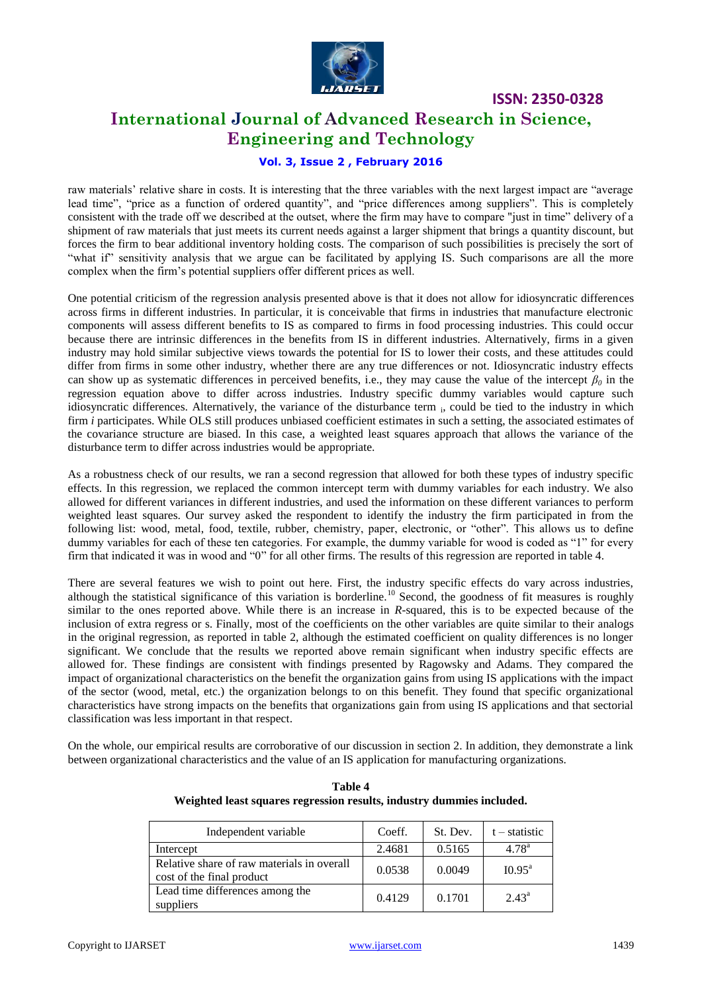

# **International Journal of Advanced Research in Science, Engineering and Technology**

## **Vol. 3, Issue 2 , February 2016**

raw materials' relative share in costs. It is interesting that the three variables with the next largest impact are "average lead time", "price as a function of ordered quantity", and "price differences among suppliers". This is completely consistent with the trade off we described at the outset, where the firm may have to compare "just in time" delivery of a shipment of raw materials that just meets its current needs against a larger shipment that brings a quantity discount, but forces the firm to bear additional inventory holding costs. The comparison of such possibilities is precisely the sort of "what if" sensitivity analysis that we argue can be facilitated by applying IS. Such comparisons are all the more complex when the firm's potential suppliers offer different prices as well.

One potential criticism of the regression analysis presented above is that it does not allow for idiosyncratic differences across firms in different industries. In particular, it is conceivable that firms in industries that manufacture electronic components will assess different benefits to IS as compared to firms in food processing industries. This could occur because there are intrinsic differences in the benefits from IS in different industries. Alternatively, firms in a given industry may hold similar subjective views towards the potential for IS to lower their costs, and these attitudes could differ from firms in some other industry, whether there are any true differences or not. Idiosyncratic industry effects can show up as systematic differences in perceived benefits, i.e., they may cause the value of the intercept  $\beta_0$  in the regression equation above to differ across industries. Industry specific dummy variables would capture such idiosyncratic differences. Alternatively, the variance of the disturbance term i, could be tied to the industry in which firm *i* participates. While OLS still produces unbiased coefficient estimates in such a setting, the associated estimates of the covariance structure are biased. In this case, a weighted least squares approach that allows the variance of the disturbance term to differ across industries would be appropriate.

As a robustness check of our results, we ran a second regression that allowed for both these types of industry specific effects. In this regression, we replaced the common intercept term with dummy variables for each industry. We also allowed for different variances in different industries, and used the information on these different variances to perform weighted least squares. Our survey asked the respondent to identify the industry the firm participated in from the following list: wood, metal, food, textile, rubber, chemistry, paper, electronic, or "other". This allows us to define dummy variables for each of these ten categories. For example, the dummy variable for wood is coded as "1" for every firm that indicated it was in wood and "0" for all other firms. The results of this regression are reported in table 4.

There are several features we wish to point out here. First, the industry specific effects do vary across industries, although the statistical significance of this variation is borderline.<sup>10</sup> Second, the goodness of fit measures is roughly similar to the ones reported above. While there is an increase in *R*-squared, this is to be expected because of the inclusion of extra regress or s. Finally, most of the coefficients on the other variables are quite similar to their analogs in the original regression, as reported in table 2, although the estimated coefficient on quality differences is no longer significant. We conclude that the results we reported above remain significant when industry specific effects are allowed for. These findings are consistent with findings presented by Ragowsky and Adams. They compared the impact of organizational characteristics on the benefit the organization gains from using IS applications with the impact of the sector (wood, metal, etc.) the organization belongs to on this benefit. They found that specific organizational characteristics have strong impacts on the benefits that organizations gain from using IS applications and that sectorial classification was less important in that respect.

On the whole, our empirical results are corroborative of our discussion in section 2. In addition, they demonstrate a link between organizational characteristics and the value of an IS application for manufacturing organizations.

| Independent variable                                                    | Coeff. | St. Dev. | $t -$ statistic    |
|-------------------------------------------------------------------------|--------|----------|--------------------|
| Intercept                                                               | 2.4681 | 0.5165   | $4.78^{a}$         |
| Relative share of raw materials in overall<br>cost of the final product | 0.0538 | 0.0049   | $10.95^{\text{a}}$ |
| Lead time differences among the<br>suppliers                            | 0.4129 | 0.1701   | $2.43^{\rm a}$     |

**Table 4 Weighted least squares regression results, industry dummies included.**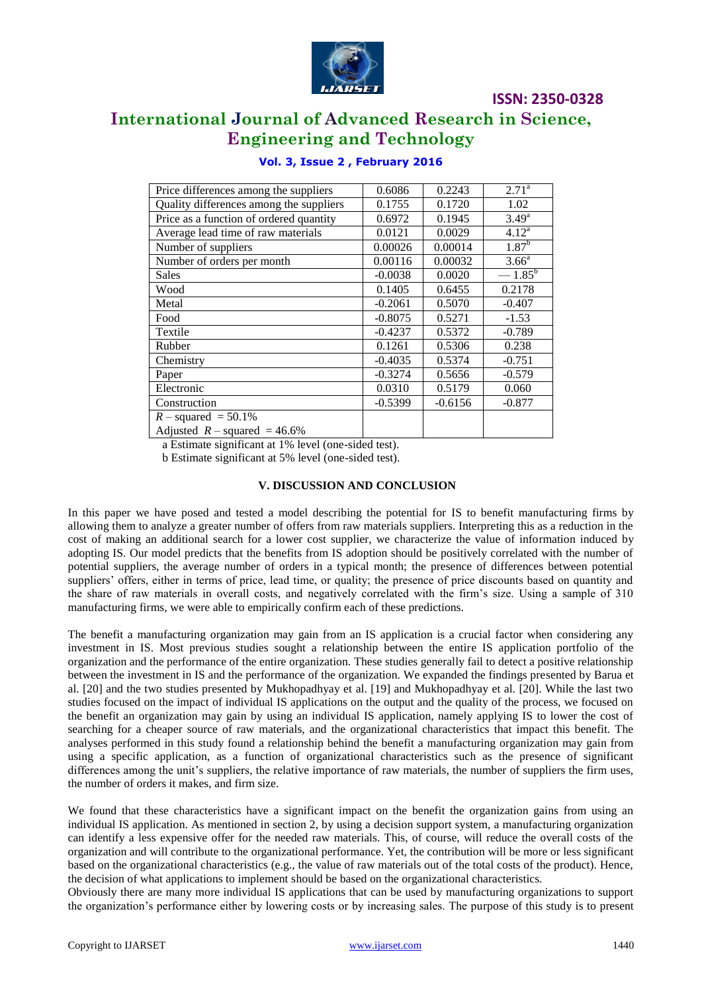

# **International Journal of Advanced Research in Science, Engineering and Technology**

| Price differences among the suppliers   | 0.6086    | 0.2243    | $2.71^a$          |
|-----------------------------------------|-----------|-----------|-------------------|
| Quality differences among the suppliers | 0.1755    | 0.1720    | 1.02              |
| Price as a function of ordered quantity | 0.6972    | 0.1945    | $3.49^{a}$        |
| Average lead time of raw materials      | 0.0121    | 0.0029    | $4.12^{a}$        |
| Number of suppliers                     | 0.00026   | 0.00014   | $1.87^{b}$        |
| Number of orders per month              | 0.00116   | 0.00032   | 3.66 <sup>a</sup> |
| <b>Sales</b>                            | $-0.0038$ | 0.0020    | $1.85^{b}$        |
| Wood                                    | 0.1405    | 0.6455    | 0.2178            |
| Metal                                   | $-0.2061$ | 0.5070    | $-0.407$          |
| Food                                    | $-0.8075$ | 0.5271    | $-1.53$           |
| Textile                                 | $-0.4237$ | 0.5372    | $-0.789$          |
| Rubber                                  | 0.1261    | 0.5306    | 0.238             |
| Chemistry                               | $-0.4035$ | 0.5374    | $-0.751$          |
| Paper                                   | $-0.3274$ | 0.5656    | $-0.579$          |
| Electronic                              | 0.0310    | 0.5179    | 0.060             |
| Construction                            | $-0.5399$ | $-0.6156$ | $-0.877$          |
| $R$ – squared = 50.1%                   |           |           |                   |
| Adjusted $R$ – squared = 46.6%          |           |           |                   |

## **Vol. 3, Issue 2 , February 2016**

a Estimate significant at 1% level (one-sided test).

b Estimate significant at 5% level (one-sided test).

#### **V. DISCUSSION AND CONCLUSION**

In this paper we have posed and tested a model describing the potential for IS to benefit manufacturing firms by allowing them to analyze a greater number of offers from raw materials suppliers. Interpreting this as a reduction in the cost of making an additional search for a lower cost supplier, we characterize the value of information induced by adopting IS. Our model predicts that the benefits from IS adoption should be positively correlated with the number of potential suppliers, the average number of orders in a typical month; the presence of differences between potential suppliers' offers, either in terms of price, lead time, or quality; the presence of price discounts based on quantity and the share of raw materials in overall costs, and negatively correlated with the firm's size. Using a sample of 310 manufacturing firms, we were able to empirically confirm each of these predictions.

The benefit a manufacturing organization may gain from an IS application is a crucial factor when considering any investment in IS. Most previous studies sought a relationship between the entire IS application portfolio of the organization and the performance of the entire organization. These studies generally fail to detect a positive relationship between the investment in IS and the performance of the organization. We expanded the findings presented by Barua et al. [20] and the two studies presented by Mukhopadhyay et al. [19] and Mukhopadhyay et al. [20]. While the last two studies focused on the impact of individual IS applications on the output and the quality of the process, we focused on the benefit an organization may gain by using an individual IS application, namely applying IS to lower the cost of searching for a cheaper source of raw materials, and the organizational characteristics that impact this benefit. The analyses performed in this study found a relationship behind the benefit a manufacturing organization may gain from using a specific application, as a function of organizational characteristics such as the presence of significant differences among the unit's suppliers, the relative importance of raw materials, the number of suppliers the firm uses, the number of orders it makes, and firm size.

We found that these characteristics have a significant impact on the benefit the organization gains from using an individual IS application. As mentioned in section 2, by using a decision support system, a manufacturing organization can identify a less expensive offer for the needed raw materials. This, of course, will reduce the overall costs of the organization and will contribute to the organizational performance. Yet, the contribution will be more or less significant based on the organizational characteristics (e.g., the value of raw materials out of the total costs of the product). Hence, the decision of what applications to implement should be based on the organizational characteristics.

Obviously there are many more individual IS applications that can be used by manufacturing organizations to support the organization's performance either by lowering costs or by increasing sales. The purpose of this study is to present